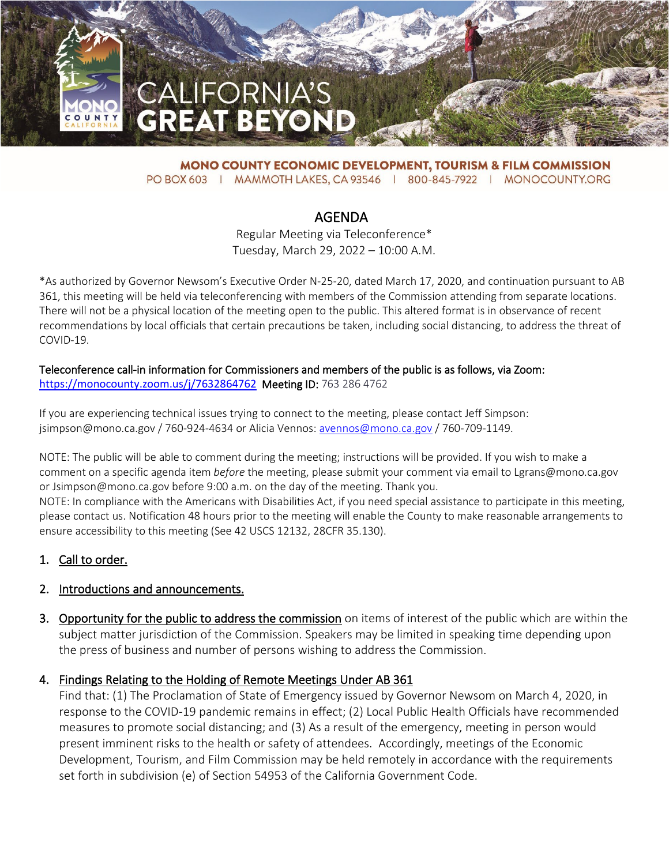

**MONO COUNTY ECONOMIC DEVELOPMENT, TOURISM & FILM COMMISSION** PO BOX 603 | MAMMOTH LAKES, CA 93546 | 800-845-7922 | MONOCOUNTY.ORG

# AGENDA

Regular Meeting via Teleconference\* Tuesday, March 29, 2022 – 10:00 A.M.

\*As authorized by Governor Newsom's Executive Order N-25-20, dated March 17, 2020, and continuation pursuant to AB 361, this meeting will be held via teleconferencing with members of the Commission attending from separate locations. There will not be a physical location of the meeting open to the public. This altered format is in observance of recent recommendations by local officials that certain precautions be taken, including social distancing, to address the threat of COVID-19.

#### Teleconference call-in information for Commissioners and members of the public is as follows, via Zoom: <https://monocounty.zoom.us/j/7632864762>Meeting ID: 763 286 4762

If you are experiencing technical issues trying to connect to the meeting, please contact Jeff Simpson: jsimpson@mono.ca.gov / 760-924-4634 or Alicia Vennos: [avennos@mono.ca.gov](mailto:avennos@mono.ca.gov) / 760-709-1149.

NOTE: The public will be able to comment during the meeting; instructions will be provided. If you wish to make a comment on a specific agenda item *before* the meeting, please submit your comment via email to Lgrans@mono.ca.gov or Jsimpson@mono.ca.gov before 9:00 a.m. on the day of the meeting. Thank you.

NOTE: In compliance with the Americans with Disabilities Act, if you need special assistance to participate in this meeting, please contact us. Notification 48 hours prior to the meeting will enable the County to make reasonable arrangements to ensure accessibility to this meeting (See 42 USCS 12132, 28CFR 35.130).

# 1. Call to order.

# 2. Introductions and announcements.

3. Opportunity for the public to address the commission on items of interest of the public which are within the subject matter jurisdiction of the Commission. Speakers may be limited in speaking time depending upon the press of business and number of persons wishing to address the Commission.

#### 4. Findings Relating to the Holding of Remote Meetings Under AB 361

Find that: (1) The Proclamation of State of Emergency issued by Governor Newsom on March 4, 2020, in response to the COVID-19 pandemic remains in effect; (2) Local Public Health Officials have recommended measures to promote social distancing; and (3) As a result of the emergency, meeting in person would present imminent risks to the health or safety of attendees. Accordingly, meetings of the Economic Development, Tourism, and Film Commission may be held remotely in accordance with the requirements set forth in subdivision (e) of Section 54953 of the California Government Code.